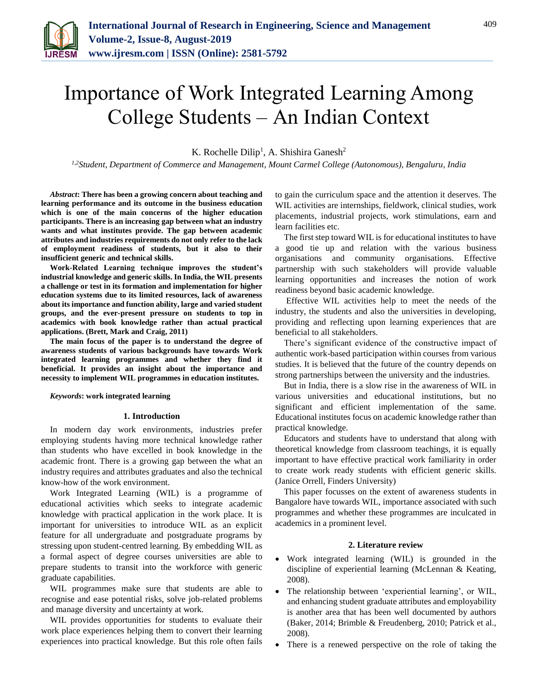

# Importance of Work Integrated Learning Among College Students – An Indian Context

K. Rochelle Dilip<sup>1</sup>, A. Shishira Ganesh<sup>2</sup>

*1,2Student, Department of Commerce and Management, Mount Carmel College (Autonomous), Bengaluru, India*

*Abstract***: There has been a growing concern about teaching and learning performance and its outcome in the business education which is one of the main concerns of the higher education participants. There is an increasing gap between what an industry wants and what institutes provide. The gap between academic attributes and industries requirements do not only refer to the lack of employment readiness of students, but it also to their insufficient generic and technical skills.** 

**Work-Related Learning technique improves the student's industrial knowledge and generic skills. In India, the WIL presents a challenge or test in its formation and implementation for higher education systems due to its limited resources, lack of awareness about its importance and function ability, large and varied student groups, and the ever-present pressure on students to top in academics with book knowledge rather than actual practical applications. (Brett, Mark and Craig, 2011)**

**The main focus of the paper is to understand the degree of awareness students of various backgrounds have towards Work integrated learning programmes and whether they find it beneficial. It provides an insight about the importance and necessity to implement WIL programmes in education institutes.**

#### *Keywords***: work integrated learning**

#### **1. Introduction**

In modern day work environments, industries prefer employing students having more technical knowledge rather than students who have excelled in book knowledge in the academic front. There is a growing gap between the what an industry requires and attributes graduates and also the technical know-how of the work environment.

Work Integrated Learning (WIL) is a programme of educational activities which seeks to integrate academic knowledge with practical application in the work place. It is important for universities to introduce WIL as an explicit feature for all undergraduate and postgraduate programs by stressing upon student-centred learning. By embedding WIL as a formal aspect of degree courses universities are able to prepare students to transit into the workforce with generic graduate capabilities.

WIL programmes make sure that students are able to recognise and ease potential risks, solve job-related problems and manage diversity and uncertainty at work.

WIL provides opportunities for students to evaluate their work place experiences helping them to convert their learning experiences into practical knowledge. But this role often fails to gain the curriculum space and the attention it deserves. The WIL activities are internships, fieldwork, clinical studies, work placements, industrial projects, work stimulations, earn and learn facilities etc.

The first step toward WIL is for educational institutes to have a good tie up and relation with the various business organisations and community organisations. Effective partnership with such stakeholders will provide valuable learning opportunities and increases the notion of work readiness beyond basic academic knowledge.

Effective WIL activities help to meet the needs of the industry, the students and also the universities in developing, providing and reflecting upon learning experiences that are beneficial to all stakeholders.

There's significant evidence of the constructive impact of authentic work-based participation within courses from various studies. It is believed that the future of the country depends on strong partnerships between the university and the industries.

But in India, there is a slow rise in the awareness of WIL in various universities and educational institutions, but no significant and efficient implementation of the same. Educational institutes focus on academic knowledge rather than practical knowledge.

Educators and students have to understand that along with theoretical knowledge from classroom teachings, it is equally important to have effective practical work familiarity in order to create work ready students with efficient generic skills. (Janice Orrell, Finders University)

This paper focusses on the extent of awareness students in Bangalore have towards WIL, importance associated with such programmes and whether these programmes are inculcated in academics in a prominent level.

## **2. Literature review**

- Work integrated learning (WIL) is grounded in the discipline of experiential learning (McLennan & Keating, 2008).
- The relationship between 'experiential learning', or WIL, and enhancing student graduate attributes and employability is another area that has been well documented by authors (Baker, 2014; Brimble & Freudenberg, 2010; Patrick et al., 2008).
- There is a renewed perspective on the role of taking the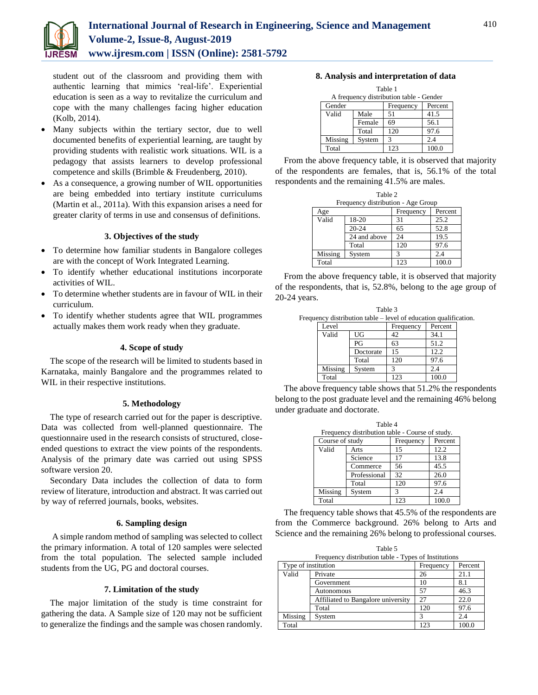

student out of the classroom and providing them with authentic learning that mimics 'real-life'. Experiential education is seen as a way to revitalize the curriculum and cope with the many challenges facing higher education (Kolb, 2014).

- Many subjects within the tertiary sector, due to well documented benefits of experiential learning, are taught by providing students with realistic work situations. WIL is a pedagogy that assists learners to develop professional competence and skills (Brimble & Freudenberg, 2010).
- As a consequence, a growing number of WIL opportunities are being embedded into tertiary institute curriculums (Martin et al., 2011a). With this expansion arises a need for greater clarity of terms in use and consensus of definitions.

# **3. Objectives of the study**

- To determine how familiar students in Bangalore colleges are with the concept of Work Integrated Learning.
- To identify whether educational institutions incorporate activities of WIL.
- To determine whether students are in favour of WIL in their curriculum.
- To identify whether students agree that WIL programmes actually makes them work ready when they graduate.

# **4. Scope of study**

The scope of the research will be limited to students based in Karnataka, mainly Bangalore and the programmes related to WIL in their respective institutions.

## **5. Methodology**

The type of research carried out for the paper is descriptive. Data was collected from well-planned questionnaire. The questionnaire used in the research consists of structured, closeended questions to extract the view points of the respondents. Analysis of the primary date was carried out using SPSS software version 20.

Secondary Data includes the collection of data to form review of literature, introduction and abstract. It was carried out by way of referred journals, books, websites.

## **6. Sampling design**

A simple random method of sampling was selected to collect the primary information. A total of 120 samples were selected from the total population. The selected sample included students from the UG, PG and doctoral courses.

## **7. Limitation of the study**

The major limitation of the study is time constraint for gathering the data. A Sample size of 120 may not be sufficient to generalize the findings and the sample was chosen randomly.

# **8. Analysis and interpretation of data**

| Table 1                                 |        |           |         |  |  |  |  |  |  |
|-----------------------------------------|--------|-----------|---------|--|--|--|--|--|--|
| A frequency distribution table - Gender |        |           |         |  |  |  |  |  |  |
| Gender                                  |        | Frequency | Percent |  |  |  |  |  |  |
| Valid                                   | Male   | 51        | 41.5    |  |  |  |  |  |  |
|                                         | Female | 69        | 56.1    |  |  |  |  |  |  |
|                                         | Total  | 120       | 97.6    |  |  |  |  |  |  |
| Missing                                 | System | 3         | 2.4     |  |  |  |  |  |  |
| Total                                   |        | 123       | 100.0   |  |  |  |  |  |  |

From the above frequency table, it is observed that majority of the respondents are females, that is, 56.1% of the total respondents and the remaining 41.5% are males.

| Table 2                            |              |           |         |  |  |  |  |  |  |
|------------------------------------|--------------|-----------|---------|--|--|--|--|--|--|
| Frequency distribution - Age Group |              |           |         |  |  |  |  |  |  |
| Age                                |              | Frequency | Percent |  |  |  |  |  |  |
| Valid                              | 18-20        | 31        | 25.2    |  |  |  |  |  |  |
|                                    | $20 - 24$    | 65        | 52.8    |  |  |  |  |  |  |
|                                    | 24 and above | 24        | 19.5    |  |  |  |  |  |  |
|                                    | Total        | 120       | 97.6    |  |  |  |  |  |  |
| Missing                            | System       | 3         | 2.4     |  |  |  |  |  |  |
| Total                              |              | 123       | 100.0   |  |  |  |  |  |  |

From the above frequency table, it is observed that majority of the respondents, that is, 52.8%, belong to the age group of 20-24 years.

|         | Table 3   |                                                                  |         |  |  |
|---------|-----------|------------------------------------------------------------------|---------|--|--|
|         |           | Frequency distribution table – level of education qualification. |         |  |  |
| Level   |           | Frequency                                                        | Percent |  |  |
| Valid   | UG        |                                                                  | 34.1    |  |  |
|         | PG        | 63                                                               | 51.2    |  |  |
|         | Doctorate | 15                                                               | 12.2    |  |  |
|         | Total     | 120                                                              | 97.6    |  |  |
| Missing | Svstem    |                                                                  | 1 (     |  |  |
|         |           |                                                                  |         |  |  |

The above frequency table shows that 51.2% the respondents belong to the post graduate level and the remaining 46% belong under graduate and doctorate.

Total 123 100.0

| Table 4<br>Frequency distribution table - Course of study. |              |           |         |  |  |  |  |  |  |
|------------------------------------------------------------|--------------|-----------|---------|--|--|--|--|--|--|
| Course of study                                            |              | Frequency | Percent |  |  |  |  |  |  |
| Valid                                                      | Arts         | 15        | 12.2    |  |  |  |  |  |  |
|                                                            | Science      | 17        | 13.8    |  |  |  |  |  |  |
|                                                            | Commerce     | 56        | 45.5    |  |  |  |  |  |  |
|                                                            | Professional | 32        | 26.0    |  |  |  |  |  |  |
|                                                            | Total        | 120       | 97.6    |  |  |  |  |  |  |
| Missing                                                    | System       | 3         | 2.4     |  |  |  |  |  |  |
| Total                                                      |              | 123       | 100.0   |  |  |  |  |  |  |

The frequency table shows that 45.5% of the respondents are from the Commerce background. 26% belong to Arts and Science and the remaining 26% belong to professional courses.

| Table 5                                              |  |
|------------------------------------------------------|--|
| Frequency distribution table - Types of Institutions |  |

| requestly distribution more respect to institutions |                                    |           |         |  |  |  |  |  |  |
|-----------------------------------------------------|------------------------------------|-----------|---------|--|--|--|--|--|--|
| Type of institution                                 |                                    | Frequency | Percent |  |  |  |  |  |  |
| Valid                                               | Private                            | 26        | 21.1    |  |  |  |  |  |  |
|                                                     | Government                         | 10        | 8.1     |  |  |  |  |  |  |
|                                                     | Autonomous                         | 57        | 46.3    |  |  |  |  |  |  |
|                                                     | Affiliated to Bangalore university | 27        | 22.0    |  |  |  |  |  |  |
|                                                     | Total                              | 120       | 97.6    |  |  |  |  |  |  |
| Missing                                             | System                             |           | 2.4     |  |  |  |  |  |  |
| Total                                               |                                    | 123       | 100.0   |  |  |  |  |  |  |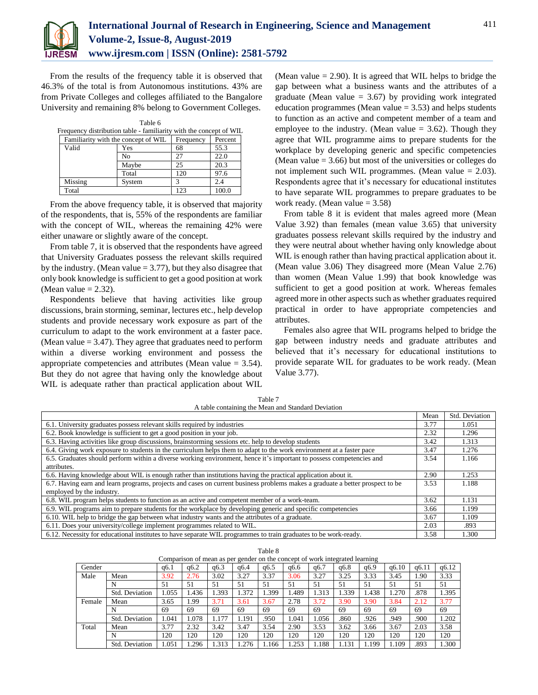

From the results of the frequency table it is observed that 46.3% of the total is from Autonomous institutions. 43% are from Private Colleges and colleges affiliated to the Bangalore University and remaining 8% belong to Government Colleges.

 $T = 1.1 - C$ 

|         | тавне о                                                            |           |         |
|---------|--------------------------------------------------------------------|-----------|---------|
|         | Frequency distribution table - familiarity with the concept of WIL |           |         |
|         | Familiarity with the concept of WIL                                | Frequency | Percent |
| Valid   | Yes                                                                | 68        | 55.3    |
|         | N <sub>0</sub>                                                     | 27        | 22.0    |
|         | Maybe                                                              | 25        | 20.3    |
|         | Total                                                              | 120       | 97.6    |
| Missing | System                                                             |           | 2.4     |
| Total   |                                                                    | 123       | 100.0   |

From the above frequency table, it is observed that majority of the respondents, that is, 55% of the respondents are familiar with the concept of WIL, whereas the remaining 42% were either unaware or slightly aware of the concept.

From table 7, it is observed that the respondents have agreed that University Graduates possess the relevant skills required by the industry. (Mean value  $= 3.77$ ), but they also disagree that only book knowledge is sufficient to get a good position at work (Mean value  $= 2.32$ ).

Respondents believe that having activities like group discussions, brain storming, seminar, lectures etc., help develop students and provide necessary work exposure as part of the curriculum to adapt to the work environment at a faster pace. (Mean value  $= 3.47$ ). They agree that graduates need to perform within a diverse working environment and possess the appropriate competencies and attributes (Mean value  $= 3.54$ ). But they do not agree that having only the knowledge about WIL is adequate rather than practical application about WIL

(Mean value  $= 2.90$ ). It is agreed that WIL helps to bridge the gap between what a business wants and the attributes of a graduate (Mean value  $= 3.67$ ) by providing work integrated education programmes (Mean value  $= 3.53$ ) and helps students to function as an active and competent member of a team and employee to the industry. (Mean value  $= 3.62$ ). Though they agree that WIL programme aims to prepare students for the workplace by developing generic and specific competencies (Mean value  $= 3.66$ ) but most of the universities or colleges do not implement such WIL programmes. (Mean value = 2.03). Respondents agree that it's necessary for educational institutes to have separate WIL programmes to prepare graduates to be work ready. (Mean value = 3.58)

From table 8 it is evident that males agreed more (Mean Value 3.92) than females (mean value 3.65) that university graduates possess relevant skills required by the industry and they were neutral about whether having only knowledge about WIL is enough rather than having practical application about it. (Mean value 3.06) They disagreed more (Mean Value 2.76) than women (Mean Value 1.99) that book knowledge was sufficient to get a good position at work. Whereas females agreed more in other aspects such as whether graduates required practical in order to have appropriate competencies and attributes.

Females also agree that WIL programs helped to bridge the gap between industry needs and graduate attributes and believed that it's necessary for educational institutions to provide separate WIL for graduates to be work ready. (Mean Value 3.77).

Table 7 A table containing the Mean and Standard Deviation

|                                                                                                                               | Mean | Std. Deviation |
|-------------------------------------------------------------------------------------------------------------------------------|------|----------------|
| 6.1. University graduates possess relevant skills required by industries                                                      | 3.77 | 1.051          |
| 6.2. Book knowledge is sufficient to get a good position in your job.                                                         | 2.32 | 1.296          |
| 6.3. Having activities like group discussions, brainstorming sessions etc. help to develop students                           | 3.42 | 1.313          |
| 6.4. Giving work exposure to students in the curriculum helps them to adapt to the work environment at a faster pace          | 3.47 | 1.276          |
| 6.5. Graduates should perform within a diverse working environment, hence it's important to possess competencies and          | 3.54 | 1.166          |
| attributes.                                                                                                                   |      |                |
| 6.6. Having knowledge about WIL is enough rather than institutions having the practical application about it.                 | 2.90 | 1.253          |
| 6.7. Having earn and learn programs, projects and cases on current business problems makes a graduate a better prospect to be | 3.53 | 1.188          |
| employed by the industry.                                                                                                     |      |                |
| 6.8. WIL program helps students to function as an active and competent member of a work-team.                                 | 3.62 | 1.131          |
| 6.9. WIL programs aim to prepare students for the workplace by developing generic and specific competencies                   | 3.66 | 1.199          |
| 6.10. WIL help to bridge the gap between what industry wants and the attributes of a graduate.                                | 3.67 | 1.109          |
| 6.11. Does your university/college implement programmes related to WIL.                                                       | 2.03 | .893           |
| 6.12. Necessity for educational institutes to have separate WIL programmes to train graduates to be work-ready.               | 3.58 | 1.300          |

| r. |
|----|
|----|

| Comparison of mean as per gender on the concept of work integrated learning |                |       |       |       |       |      |       |       |       |       |       |       |       |
|-----------------------------------------------------------------------------|----------------|-------|-------|-------|-------|------|-------|-------|-------|-------|-------|-------|-------|
| Gender                                                                      |                | a6.1  | q6.2  | a6.3  | q6.4  | a6.5 | q6.6  | q6.7  | q6.8  | q6.9  | a6.10 | a6.11 | q6.12 |
| Male                                                                        | Mean           | 3.92  | 2.76  | 3.02  | 3.27  | 3.37 | 3.06  | 3.27  | 3.25  | 3.33  | 3.45  | 1.90  | 3.33  |
|                                                                             | N              | 51    | 51    | 51    | 51    | 51   | 51    | 51    | 51    | 51    | 51    | 51    | 51    |
|                                                                             | Std. Deviation | .055  | 1.436 | .393  | 1.372 | .399 | . 489 | 1.313 | 1.339 | 1.438 | 1.270 | .878  | 1.395 |
| Female                                                                      | Mean           | 3.65  | 1.99  | 3.71  | 3.61  | 3.67 | 2.78  | 3.72  | 3.90  | 3.90  | 3.84  | 2.12  | 3.77  |
|                                                                             | N              | 69    | 69    | 69    | 69    | 69   | 69    | 69    | 69    | 69    | 69    | 69    | 69    |
|                                                                             | Std. Deviation | 1.041 | 1.078 | 1.177 | 1.191 | .950 | 1.041 | .056  | .860  | .926  | .949  | .900  | 1.202 |
| Total                                                                       | Mean           | 3.77  | 2.32  | 3.42  | 3.47  | 3.54 | 2.90  | 3.53  | 3.62  | 3.66  | 3.67  | 2.03  | 3.58  |
|                                                                             | N              | 120   | 120   | 120   | 120   | 120  | 120   | 120   | 120   | 120   | 120   | 120   | 120   |
|                                                                             | Std. Deviation | 1.051 | .296  | 1.313 | .276  | .166 | .253  | .188  | 1.131 | .199  | 1.109 | .893  | 1.300 |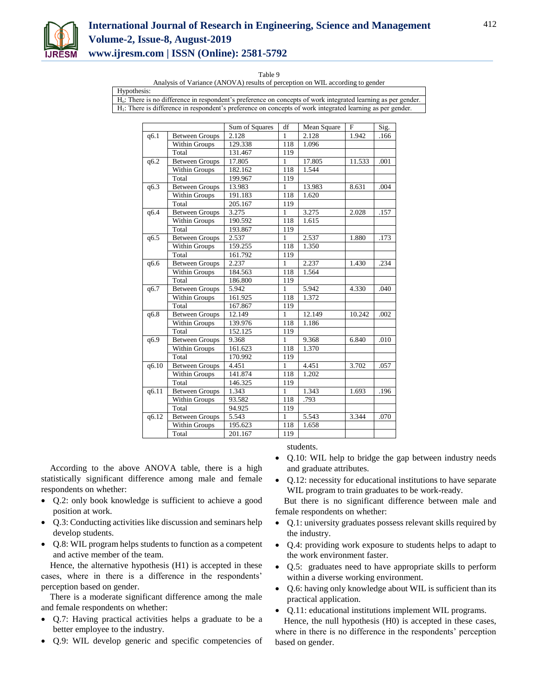

# **International Journal of Research in Engineering, Science and Management Volume-2, Issue-8, August-2019 www.ijresm.com | ISSN (Online): 2581-5792**

Table 9

Analysis of Variance (ANOVA) results of perception on WIL according to gender

Hypothesis: Ho: There is no difference in respondent's preference on concepts of work integrated learning as per gender. H1: There is difference in respondent's preference on concepts of work integrated learning as per gender.

|       |                       | Sum of Squares | df           | Mean Square | $\mathbf{F}$ | Sig. |
|-------|-----------------------|----------------|--------------|-------------|--------------|------|
| q6.1  | <b>Between Groups</b> | 2.128          | 1            | 2.128       | 1.942        | .166 |
|       | Within Groups         | 129.338        | 118          | 1.096       |              |      |
|       | Total                 | 131.467        | 119          |             |              |      |
| q6.2  | <b>Between Groups</b> | 17.805         | 1            | 17.805      | 11.533       | .001 |
|       | Within Groups         | 182.162        | 118          | 1.544       |              |      |
|       | Total                 | 199.967        | 119          |             |              |      |
| q6.3  | <b>Between Groups</b> | 13.983         | 1            | 13.983      | 8.631        | .004 |
|       | Within Groups         | 191.183        | 118          | 1.620       |              |      |
|       | Total                 | 205.167        | 119          |             |              |      |
| q6.4  | <b>Between Groups</b> | 3.275          | $\mathbf{1}$ | 3.275       | 2.028        | .157 |
|       | Within Groups         | 190.592        | 118          | 1.615       |              |      |
|       | Total                 | 193.867        | 119          |             |              |      |
| q6.5  | <b>Between Groups</b> | 2.537          | $\mathbf{1}$ | 2.537       | 1.880        | .173 |
|       | Within Groups         | 159.255        | 118          | 1.350       |              |      |
|       | Total                 | 161.792        | 119          |             |              |      |
| q6.6  | <b>Between Groups</b> | 2.237          | $\mathbf{1}$ | 2.237       | 1.430        | .234 |
|       | Within Groups         | 184.563        | 118          | 1.564       |              |      |
|       | Total                 | 186.800        | 119          |             |              |      |
| q6.7  | <b>Between Groups</b> | 5.942          | $\mathbf{1}$ | 5.942       | 4.330        | .040 |
|       | Within Groups         | 161.925        | 118          | 1.372       |              |      |
|       | Total                 | 167.867        | 119          |             |              |      |
| q6.8  | <b>Between Groups</b> | 12.149         | $\mathbf{1}$ | 12.149      | 10.242       | .002 |
|       | Within Groups         | 139.976        | 118          | 1.186       |              |      |
|       | Total                 | 152.125        | 119          |             |              |      |
| q6.9  | <b>Between Groups</b> | 9.368          | $\mathbf{1}$ | 9.368       | 6.840        | .010 |
|       | Within Groups         | 161.623        | 118          | 1.370       |              |      |
|       | Total                 | 170.992        | 119          |             |              |      |
| q6.10 | <b>Between Groups</b> | 4.451          | $\mathbf{1}$ | 4.451       | 3.702        | .057 |
|       | Within Groups         | 141.874        | 118          | 1.202       |              |      |
|       | Total                 | 146.325        | 119          |             |              |      |
| q6.11 | <b>Between Groups</b> | 1.343          | $\mathbf{1}$ | 1.343       | 1.693        | .196 |
|       | Within Groups         | 93.582         | 118          | .793        |              |      |
|       | Total                 | 94.925         | 119          |             |              |      |
| q6.12 | <b>Between Groups</b> | 5.543          | $\mathbf{1}$ | 5.543       | 3.344        | .070 |
|       | Within Groups         | 195.623        | 118          | 1.658       |              |      |
|       | Total                 | 201.167        | 119          |             |              |      |

students.

- According to the above ANOVA table, there is a high statistically significant difference among male and female respondents on whether:
- Q.2: only book knowledge is sufficient to achieve a good position at work.
- Q.3: Conducting activities like discussion and seminars help develop students.
- Q.8: WIL program helps students to function as a competent and active member of the team.

Hence, the alternative hypothesis (H1) is accepted in these cases, where in there is a difference in the respondents' perception based on gender.

There is a moderate significant difference among the male and female respondents on whether:

- Q.7: Having practical activities helps a graduate to be a better employee to the industry.
- Q.9: WIL develop generic and specific competencies of
- Q.10: WIL help to bridge the gap between industry needs and graduate attributes.
- Q.12: necessity for educational institutions to have separate WIL program to train graduates to be work-ready.

But there is no significant difference between male and female respondents on whether:

- Q.1: university graduates possess relevant skills required by the industry.
- Q.4: providing work exposure to students helps to adapt to the work environment faster.
- Q.5: graduates need to have appropriate skills to perform within a diverse working environment.
- Q.6: having only knowledge about WIL is sufficient than its practical application.
- Q.11: educational institutions implement WIL programs.

Hence, the null hypothesis (H0) is accepted in these cases, where in there is no difference in the respondents' perception based on gender.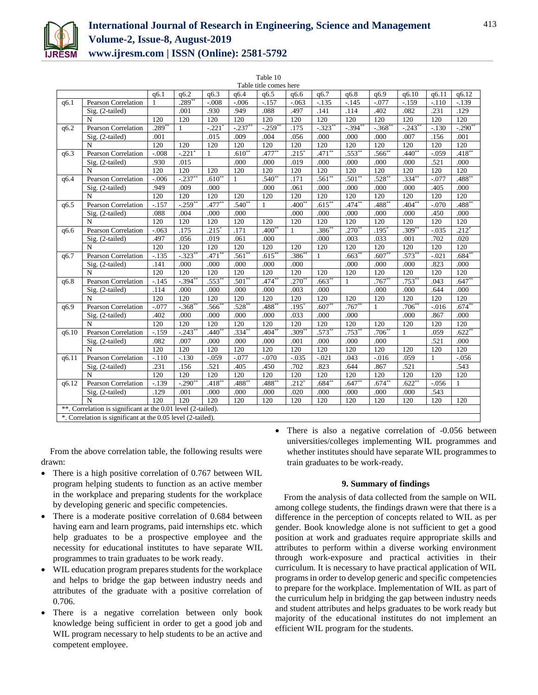

# **International Journal of Research in Engineering, Science and Management Volume-2, Issue-8, August-2019 www.ijresm.com | ISSN (Online): 2581-5792**

 $T - 1.1 - 10$ 

|       | rabie tu<br>Table title comes here                           |              |                      |                     |             |              |                     |            |                      |              |                      |          |              |
|-------|--------------------------------------------------------------|--------------|----------------------|---------------------|-------------|--------------|---------------------|------------|----------------------|--------------|----------------------|----------|--------------|
|       |                                                              | q6.1         | q6.2                 | q6.3                | q6.4        | q6.5         | q6.6                | q6.7       | q6.8                 | q6.9         | q6.10                | q6.11    | q6.12        |
| q6.1  | <b>Pearson Correlation</b>                                   | $\mathbf{1}$ | $.289**$             | $-.008$             | $-.006$     | $-157$       | $-.063$             | $-135$     | $-145$               | $-.077$      | $-.159$              | $-.110$  | $-139$       |
|       | Sig. (2-tailed)                                              |              | .001                 | .930                | .949        | .088         | .497                | .141       | .114                 | .402         | .082                 | .231     | .129         |
|       | N                                                            | 120          | 120                  | 120                 | 120         | 120          | 120                 | 120        | 120                  | 120          | 120                  | 120      | 120          |
| q6.2  | <b>Pearson Correlation</b>                                   | $.289*$      | $\mathbf{1}$         | $-.221$             | $-.237*$    | $-.259$ **   | .175                | $-.323$ ** | $-.394$ <sup>*</sup> | $-.368$ **   | $-.243$ <sup>*</sup> | $-.130$  | $-.290$ **   |
|       | Sig. (2-tailed)                                              | .001         |                      | .015                | .009        | .004         | .056                | .000       | .000                 | .000         | .007                 | .156     | .001         |
|       | N                                                            | 120          | 120                  | 120                 | 120         | 120          | 120                 | 120        | 120                  | 120          | 120                  | 120      | 120          |
| q6.3  | <b>Pearson Correlation</b>                                   | $-.008$      | $-.221$              | 1                   | $.610*$     | $.477**$     | .215'               | $.471**$   | $.553*$              | $.566^{**}$  | .440'                | $-.059$  | $.418*$      |
|       | Sig. (2-tailed)                                              | .930         | .015                 |                     | .000        | .000         | .019                | .000       | .000                 | .000         | .000                 | .521     | .000         |
|       | $\mathbf N$                                                  | 120          | 120                  | 120                 | 120         | 120          | 120                 | 120        | 120                  | 120          | 120                  | 120      | 120          |
| q6.4  | <b>Pearson Correlation</b>                                   | $-.006$      | $-237$               | $.610**$            | 1           | $.540^{**}$  | .171                | $.561**$   | .501                 | $.528**$     | $.334*$              | $-.077$  | $.488*$      |
|       | Sig. (2-tailed)                                              | .949         | .009                 | .000                |             | .000         | .061                | .000       | .000                 | .000         | .000                 | .405     | .000         |
|       | N                                                            | 120          | 120                  | 120                 | 120         | 120          | 120                 | 120        | 120                  | 120          | 120                  | 120      | 120          |
| q6.5  | <b>Pearson Correlation</b>                                   | $-.157$      | $-259**$             | $.477**$            | $.540**$    | $\mathbf{1}$ | $.400*$             | $.615***$  | $.474**$             | $.488**$     | $.404**$             | $-.070$  | $.488***$    |
|       | Sig. (2-tailed)                                              | .088         | .004                 | .000                | .000        |              | .000                | .000       | .000                 | .000         | .000                 | .450     | .000         |
|       | N                                                            | 120          | 120                  | 120                 | 120         | 120          | 120                 | 120        | 120                  | 120          | 120                  | 120      | 120          |
| q6.6  | <b>Pearson Correlation</b>                                   | $-.063$      | .175                 | $.215$ <sup>*</sup> | .171        | $.400*$      | 1                   | $.386*$    | $.270*$              | $.195*$      | $.309*$              | $-.035$  | $.212*$      |
|       | Sig. (2-tailed)                                              | .497         | .056                 | .019                | .061        | .000         |                     | .000       | .003                 | .033         | .001                 | .702     | .020         |
|       | N                                                            | 120          | 120                  | 120                 | 120         | 120          | 120                 | 120        | 120                  | 120          | 120                  | 120      | 120          |
| q6.7  | <b>Pearson Correlation</b>                                   | $-135$       | $-.323**$            | $.471**$            | $.561*$     | $.615***$    | $.386*$             | 1          | $.663**$             | $.607**$     | $.573**$             | $-.021$  | $.684**$     |
|       | Sig. (2-tailed)                                              | .141         | .000                 | .000                | .000        | .000         | .000                |            | .000                 | .000         | .000                 | .823     | .000         |
|       | N                                                            | 120          | 120                  | 120                 | 120         | 120          | 120                 | 120        | 120                  | 120          | 120                  | 120      | 120          |
| q6.8  | <b>Pearson Correlation</b>                                   | $-145$       | $-394$               | $.553*$             | $.501*$     | $.474**$     | $.270*$             | $.663**$   | 1                    | $.767**$     | $.753*$              | .043     | $.647**$     |
|       | $Sig. (2-tailed)$                                            | .114         | .000                 | .000                | .000        | .000         | .003                | .000       |                      | .000         | .000                 | .644     | .000         |
|       | $\mathbf N$                                                  | 120          | 120                  | 120                 | 120         | 120          | 120                 | 120        | 120                  | 120          | 120                  | 120      | 120          |
| q6.9  | Pearson Correlation                                          | $-.077$      | $-.368$ **           | $.566*$             | $.528^{**}$ | $.488**$     | .195                | $.607**$   | $.767**$             | $\mathbf{1}$ | $.706*$              | $-0.016$ | $.674**$     |
|       | Sig. (2-tailed)                                              | .402         | .000                 | .000                | .000        | .000         | .033                | .000       | .000                 |              | .000                 | .867     | .000         |
|       | N                                                            | 120          | 120                  | 120                 | 120         | 120          | 120                 | 120        | 120                  | 120          | 120                  | 120      | 120          |
| q6.10 | <b>Pearson Correlation</b>                                   | $-159$       | $-.243$ <sup>*</sup> | $.440*$             | $.334*$     | $.404*$      | .309'               | $.573**$   | .753                 | $.706^{**}$  | 1                    | .059     | $.622*$      |
|       | Sig. (2-tailed)                                              | .082         | .007                 | .000                | .000        | .000         | .001                | .000       | .000                 | .000         |                      | .521     | .000         |
|       | N                                                            | 120          | 120                  | 120                 | 120         | 120          | 120                 | 120        | 120                  | 120          | 120                  | 120      | 120          |
| q6.11 | Pearson Correlation                                          | $-.110$      | $-.130$              | $-.059$             | $-.077$     | $-.070$      | $-0.035$            | $-.021$    | .043                 | $-.016$      | .059                 | 1        | $-.056$      |
|       | Sig. (2-tailed)                                              | .231         | .156                 | .521                | .405        | .450         | .702                | .823       | .644                 | .867         | .521                 |          | .543         |
|       | N                                                            | 120          | 120                  | 120                 | 120         | 120          | 120                 | 120        | 120                  | 120          | 120                  | 120      | 120          |
| q6.12 | <b>Pearson Correlation</b>                                   | $-.139$      | $-290**$             | $.418^{**}$         | $.488***$   | $.488***$    | $.212$ <sup>*</sup> | $.684**$   | $.647**$             | $.674**$     | $.622**$             | $-.056$  | $\mathbf{1}$ |
|       | Sig. (2-tailed)                                              | .129         | .001                 | .000                | .000        | .000         | .020                | .000       | .000                 | .000         | .000                 | .543     |              |
|       | $\overline{N}$                                               | 120          | 120                  | 120                 | 120         | 120          | 120                 | 120        | 120                  | 120          | 120                  | 120      | 120          |
|       | **. Correlation is significant at the 0.01 level (2-tailed). |              |                      |                     |             |              |                     |            |                      |              |                      |          |              |
|       | *. Correlation is significant at the 0.05 level (2-tailed).  |              |                      |                     |             |              |                     |            |                      |              |                      |          |              |

From the above correlation table, the following results were drawn:

- There is a high positive correlation of 0.767 between WIL program helping students to function as an active member in the workplace and preparing students for the workplace by developing generic and specific competencies.
- There is a moderate positive correlation of 0.684 between having earn and learn programs, paid internships etc. which help graduates to be a prospective employee and the necessity for educational institutes to have separate WIL programmes to train graduates to be work ready.
- WIL education program prepares students for the workplace and helps to bridge the gap between industry needs and attributes of the graduate with a positive correlation of 0.706.
- There is a negative correlation between only book knowledge being sufficient in order to get a good job and WIL program necessary to help students to be an active and competent employee.

• There is also a negative correlation of -0.056 between universities/colleges implementing WIL programmes and whether institutes should have separate WIL programmes to train graduates to be work-ready.

# **9. Summary of findings**

From the analysis of data collected from the sample on WIL among college students, the findings drawn were that there is a difference in the perception of concepts related to WIL as per gender. Book knowledge alone is not sufficient to get a good position at work and graduates require appropriate skills and attributes to perform within a diverse working environment through work-exposure and practical activities in their curriculum. It is necessary to have practical application of WIL programs in order to develop generic and specific competencies to prepare for the workplace. Implementation of WIL as part of the curriculum help in bridging the gap between industry needs and student attributes and helps graduates to be work ready but majority of the educational institutes do not implement an efficient WIL program for the students.